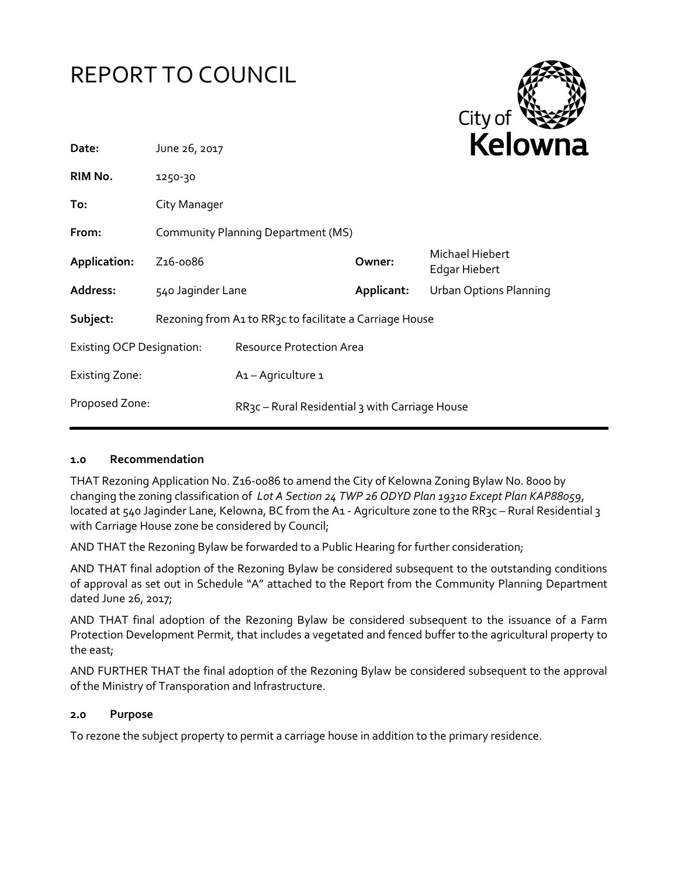



|                                           |                  |                   | NEIUWI                                                                                                                                                    |
|-------------------------------------------|------------------|-------------------|-----------------------------------------------------------------------------------------------------------------------------------------------------------|
| 1250-30                                   |                  |                   |                                                                                                                                                           |
| City Manager                              |                  |                   |                                                                                                                                                           |
| <b>Community Planning Department (MS)</b> |                  |                   |                                                                                                                                                           |
| Z <sub>16</sub> -0086                     |                  | Owner:            | Michael Hiebert<br>Edgar Hiebert                                                                                                                          |
|                                           |                  | Applicant:        | Urban Options Planning                                                                                                                                    |
|                                           |                  |                   |                                                                                                                                                           |
| <b>Existing OCP Designation:</b>          |                  |                   |                                                                                                                                                           |
|                                           | A1-Agriculture 1 |                   |                                                                                                                                                           |
|                                           |                  |                   |                                                                                                                                                           |
|                                           | June 26, 2017    | 540 Jaginder Lane | Rezoning from A1 to RR3c to facilitate a Carriage House<br><b>Resource Protection Area</b><br>RR <sub>3</sub> c – Rural Residential 3 with Carriage House |

#### **1.0 Recommendation**

THAT Rezoning Application No. Z16-0086 to amend the City of Kelowna Zoning Bylaw No. 8000 by changing the zoning classification of *Lot A Section 24 TWP 26 ODYD Plan 19310 Except Plan KAP88059*, located at 540 Jaginder Lane, Kelowna, BC from the A1 - Agriculture zone to the RR3c – Rural Residential 3 with Carriage House zone be considered by Council;

AND THAT the Rezoning Bylaw be forwarded to a Public Hearing for further consideration;

AND THAT final adoption of the Rezoning Bylaw be considered subsequent to the outstanding conditions of approval as set out in Schedule "A" attached to the Report from the Community Planning Department dated June 26, 2017;

AND THAT final adoption of the Rezoning Bylaw be considered subsequent to the issuance of a Farm Protection Development Permit, that includes a vegetated and fenced buffer to the agricultural property to the east;

AND FURTHER THAT the final adoption of the Rezoning Bylaw be considered subsequent to the approval of the Ministry of Transporation and Infrastructure.

#### **2.0 Purpose**

To rezone the subject property to permit a carriage house in addition to the primary residence.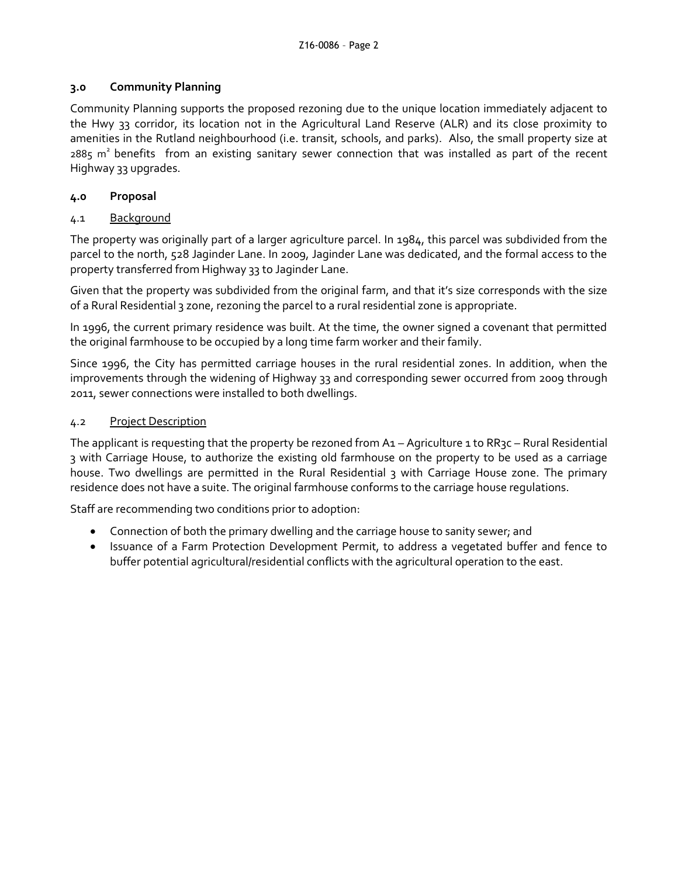# **3.0 Community Planning**

Community Planning supports the proposed rezoning due to the unique location immediately adjacent to the Hwy 33 corridor, its location not in the Agricultural Land Reserve (ALR) and its close proximity to amenities in the Rutland neighbourhood (i.e. transit, schools, and parks). Also, the small property size at 2885 m<sup>2</sup> benefits from an existing sanitary sewer connection that was installed as part of the recent Highway 33 upgrades.

# **4.0 Proposal**

# 4.1 Background

The property was originally part of a larger agriculture parcel. In 1984, this parcel was subdivided from the parcel to the north, 528 Jaginder Lane. In 2009, Jaginder Lane was dedicated, and the formal access to the property transferred from Highway 33 to Jaginder Lane.

Given that the property was subdivided from the original farm, and that it's size corresponds with the size of a Rural Residential 3 zone, rezoning the parcel to a rural residential zone is appropriate.

In 1996, the current primary residence was built. At the time, the owner signed a covenant that permitted the original farmhouse to be occupied by a long time farm worker and their family.

Since 1996, the City has permitted carriage houses in the rural residential zones. In addition, when the improvements through the widening of Highway 33 and corresponding sewer occurred from 2009 through 2011, sewer connections were installed to both dwellings.

### 4.2 Project Description

The applicant is requesting that the property be rezoned from A1 – Agriculture 1 to RR3c – Rural Residential 3 with Carriage House, to authorize the existing old farmhouse on the property to be used as a carriage house. Two dwellings are permitted in the Rural Residential 3 with Carriage House zone. The primary residence does not have a suite. The original farmhouse conforms to the carriage house regulations.

Staff are recommending two conditions prior to adoption:

- Connection of both the primary dwelling and the carriage house to sanity sewer; and
- Issuance of a Farm Protection Development Permit, to address a vegetated buffer and fence to buffer potential agricultural/residential conflicts with the agricultural operation to the east.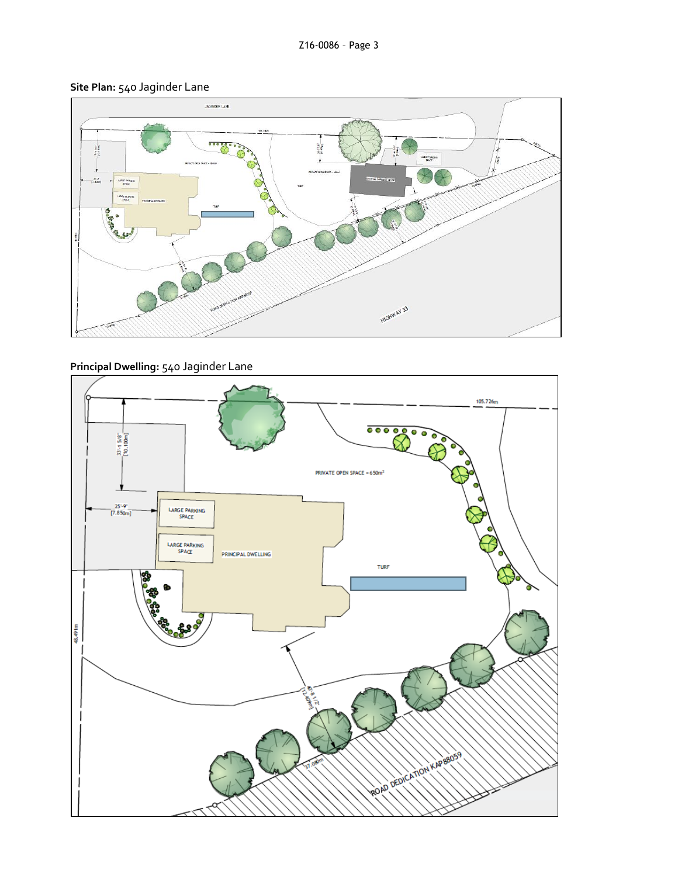# **Site Plan:** 540 Jaginder Lane



# **Principal Dwelling:** 540 Jaginder Lane

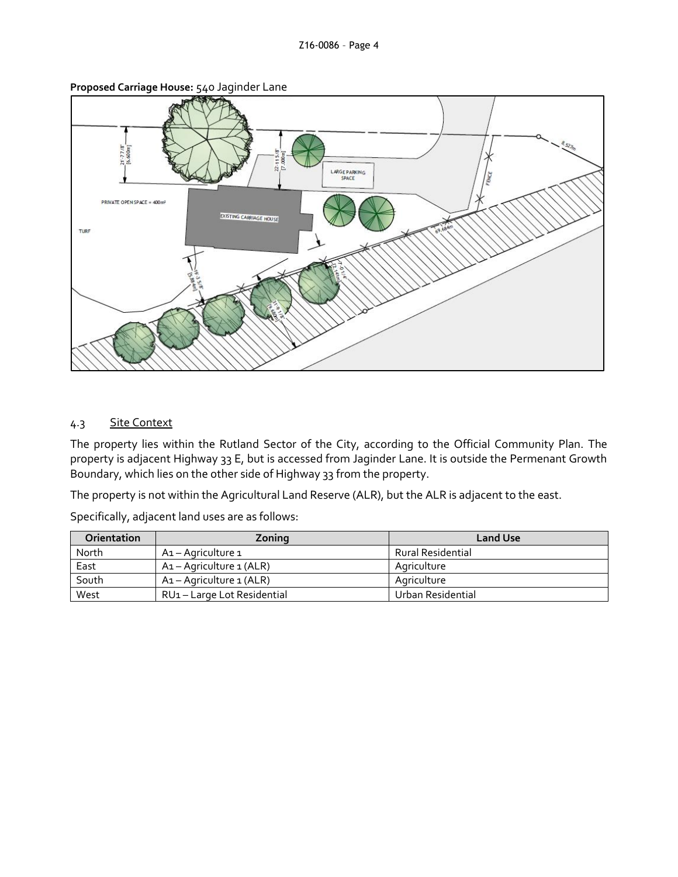

**Proposed Carriage House:** 540 Jaginder Lane

# 4.3 Site Context

The property lies within the Rutland Sector of the City, according to the Official Community Plan. The property is adjacent Highway 33 E, but is accessed from Jaginder Lane. It is outside the Permenant Growth Boundary, which lies on the other side of Highway 33 from the property.

The property is not within the Agricultural Land Reserve (ALR), but the ALR is adjacent to the east.

Specifically, adjacent land uses are as follows:

| <b>Orientation</b> | Zoning                    | <b>Land Use</b>          |
|--------------------|---------------------------|--------------------------|
| North              | A1 - Agriculture 1        | <b>Rural Residential</b> |
| East               | A1 – Agriculture 1 (ALR)  | Agriculture              |
| South              | A1 – Agriculture 1 (ALR)  | Agriculture              |
| West               | RU1-Large Lot Residential | Urban Residential        |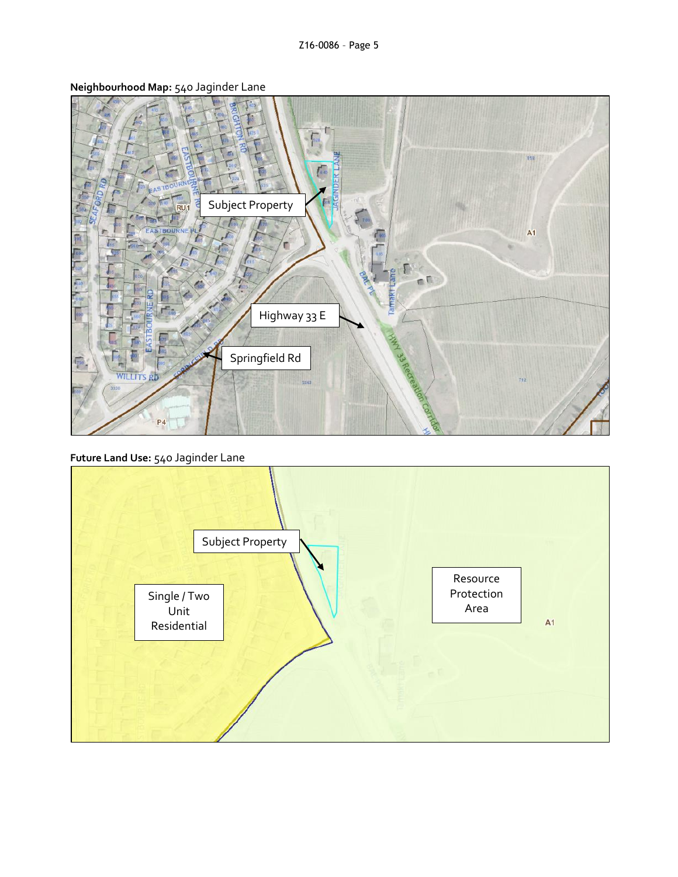

**Neighbourhood Map:** 540 Jaginder Lane

**Future Land Use:** 540 Jaginder Lane

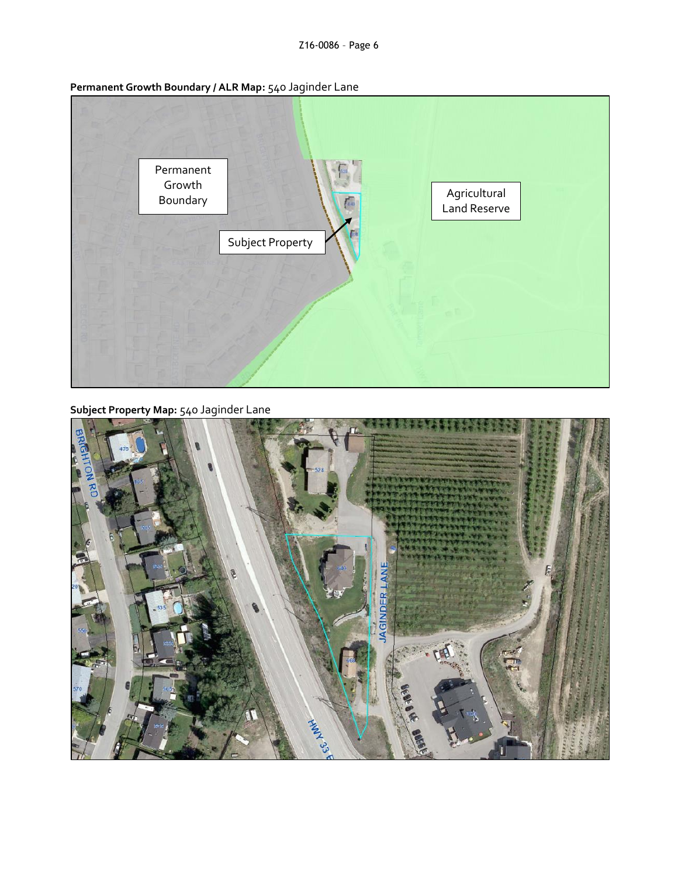|                    | ennancine di oman poonuary ; :  mapri <sub>14</sub> 0 sugnitudi Lunc |                              |  |
|--------------------|----------------------------------------------------------------------|------------------------------|--|
| Permanent          |                                                                      |                              |  |
| Growth<br>Boundary | $\sqrt{2}$                                                           | Agricultural<br>Land Reserve |  |
|                    | Subject Property                                                     |                              |  |
|                    |                                                                      |                              |  |
|                    |                                                                      |                              |  |
|                    |                                                                      |                              |  |

**Permanent Growth Boundary / ALR Map:** 540 Jaginder Lane

**Subject Property Map:** 540 Jaginder Lane

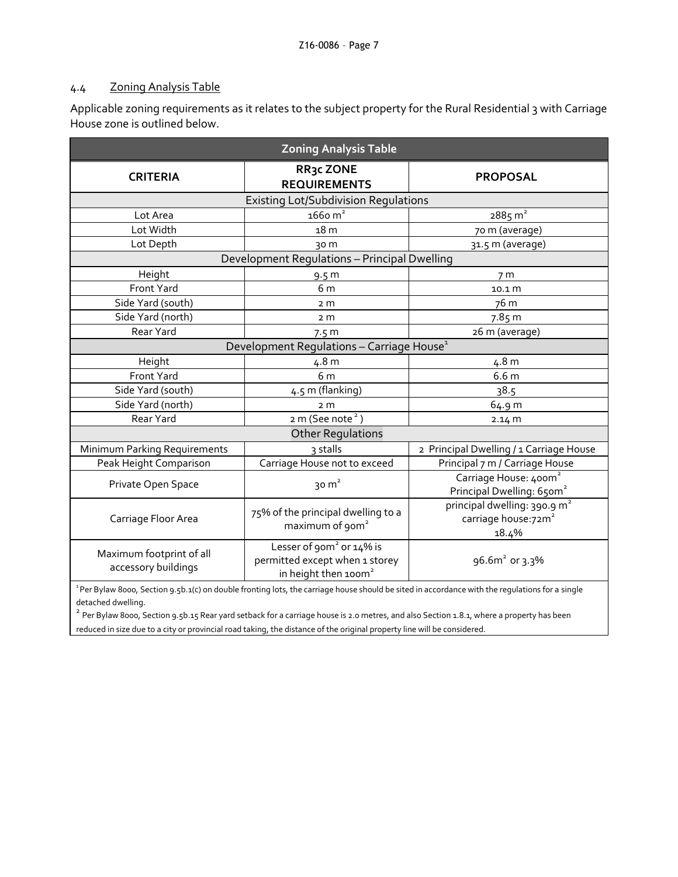### 4.4 Zoning Analysis Table

Applicable zoning requirements as it relates to the subject property for the Rural Residential 3 with Carriage House zone is outlined below.

| <b>Zoning Analysis Table</b>                          |                                                                                                            |                                                                                      |  |  |
|-------------------------------------------------------|------------------------------------------------------------------------------------------------------------|--------------------------------------------------------------------------------------|--|--|
| <b>CRITERIA</b>                                       | RR3c ZONE<br><b>REQUIREMENTS</b>                                                                           | <b>PROPOSAL</b>                                                                      |  |  |
|                                                       | <b>Existing Lot/Subdivision Regulations</b>                                                                |                                                                                      |  |  |
| Lot Area                                              | $166$ o m <sup>2</sup>                                                                                     | $2885 \text{ m}^2$                                                                   |  |  |
| Lot Width                                             | 18 <sub>m</sub>                                                                                            | 70 m (average)                                                                       |  |  |
| Lot Depth                                             | 30 m                                                                                                       | 31.5 m (average)                                                                     |  |  |
|                                                       | Development Regulations - Principal Dwelling                                                               |                                                                                      |  |  |
| Height                                                | 9.5 <sub>m</sub>                                                                                           | 7 <sub>m</sub>                                                                       |  |  |
| Front Yard                                            | 6 m                                                                                                        | 10.1 <sub>m</sub>                                                                    |  |  |
| Side Yard (south)                                     | 2 m                                                                                                        | 76 m                                                                                 |  |  |
| Side Yard (north)                                     | 2 <sub>m</sub>                                                                                             | 7.85 m                                                                               |  |  |
| Rear Yard                                             | 7.5 <sub>m</sub>                                                                                           | 26 m (average)                                                                       |  |  |
| Development Regulations - Carriage House <sup>1</sup> |                                                                                                            |                                                                                      |  |  |
| Height                                                | 4.8 m                                                                                                      | 4.8 m                                                                                |  |  |
| Front Yard                                            | 6 m                                                                                                        | 6.6 <sub>m</sub>                                                                     |  |  |
| Side Yard (south)                                     | 4.5 m (flanking)                                                                                           | 38.5                                                                                 |  |  |
| Side Yard (north)                                     | 2 <sub>m</sub>                                                                                             | 64.9 m                                                                               |  |  |
| Rear Yard                                             | 2 m (See note <sup>2</sup> )                                                                               | 2.14 m                                                                               |  |  |
| <b>Other Regulations</b>                              |                                                                                                            |                                                                                      |  |  |
| Minimum Parking Requirements                          | 3 stalls                                                                                                   | 2 Principal Dwelling / 1 Carriage House                                              |  |  |
| Peak Height Comparison                                | Carriage House not to exceed                                                                               | Principal 7 m / Carriage House                                                       |  |  |
| Private Open Space                                    | 30 $m2$                                                                                                    | Carriage House: 400m <sup>2</sup><br>Principal Dwelling: 650m <sup>2</sup>           |  |  |
| Carriage Floor Area                                   | 75% of the principal dwelling to a<br>maximum of 90m <sup>2</sup>                                          | principal dwelling: 390.9 m <sup>2</sup><br>carriage house:72m <sup>2</sup><br>18.4% |  |  |
| Maximum footprint of all<br>accessory buildings       | Lesser of 90m <sup>2</sup> or 14% is<br>permitted except when 1 storey<br>in height then 100m <sup>2</sup> | 96.6 $m^2$ or 3.3%                                                                   |  |  |

<sup>1</sup> Per Bylaw 8000, Section 9.5b.1(c) on double fronting lots, the carriage house should be sited in accordance with the regulations for a single detached dwelling.

 $^{\text{2}}$  Per Bylaw 8000, Section 9.5b.15 Rear yard setback for a carriage house is 2.0 metres, and also Section 1.8.1, where a property has been reduced in size due to a city or provincial road taking, the distance of the original property line will be considered.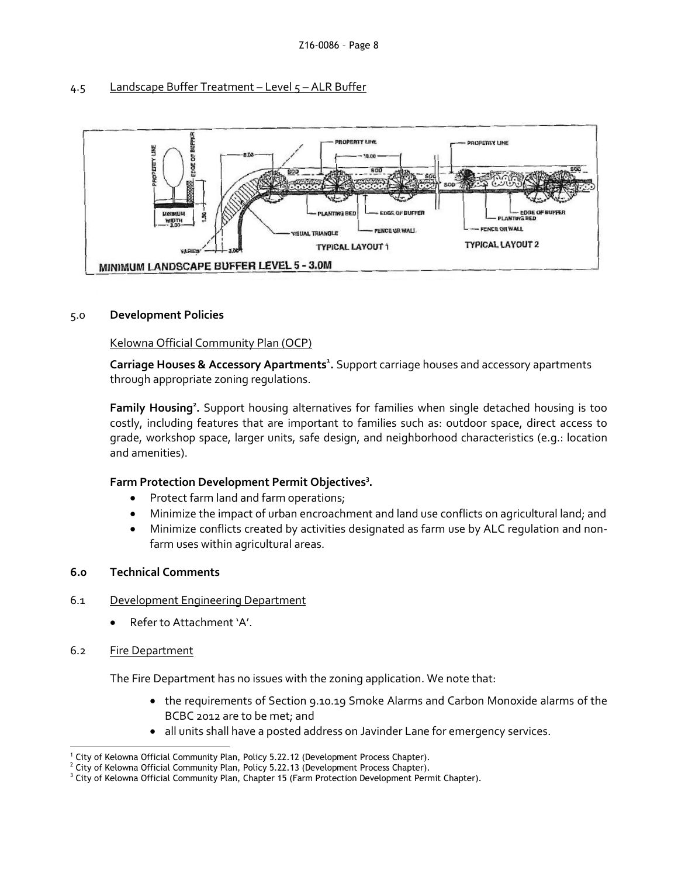#### 4.5 Landscape Buffer Treatment - Level 5 - ALR Buffer



#### 5.0 **Development Policies**

### Kelowna Official Community Plan (OCP)

**Carriage Houses & Accessory Apartments<sup>1</sup> .** Support carriage houses and accessory apartments through appropriate zoning regulations.

Family Housing<sup>2</sup>. Support housing alternatives for families when single detached housing is too costly, including features that are important to families such as: outdoor space, direct access to grade, workshop space, larger units, safe design, and neighborhood characteristics (e.g.: location and amenities).

# **Farm Protection Development Permit Objectives<sup>3</sup> .**

- Protect farm land and farm operations;
- Minimize the impact of urban encroachment and land use conflicts on agricultural land; and
- Minimize conflicts created by activities designated as farm use by ALC regulation and nonfarm uses within agricultural areas.

#### **6.0 Technical Comments**

#### 6.1 Development Engineering Department

- Refer to Attachment 'A'.
- 6.2 Fire Department

The Fire Department has no issues with the zoning application. We note that:

- the requirements of Section 9.10.19 Smoke Alarms and Carbon Monoxide alarms of the BCBC 2012 are to be met; and
- all units shall have a posted address on Javinder Lane for emergency services.

<sup>-</sup><sup>1</sup> City of Kelowna Official Community Plan, Policy 5.22.12 (Development Process Chapter).

<sup>&</sup>lt;sup>2</sup> City of Kelowna Official Community Plan, Policy 5.22.13 (Development Process Chapter).

<sup>&</sup>lt;sup>3</sup> City of Kelowna Official Community Plan, Chapter 15 (Farm Protection Development Permit Chapter).